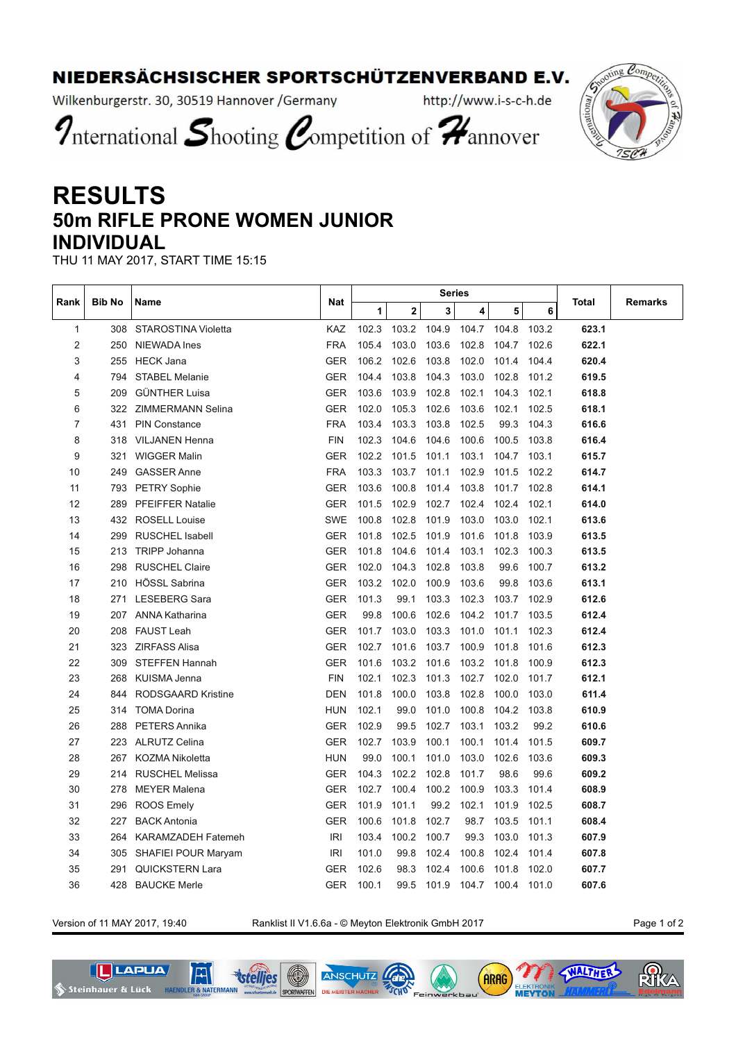## NIEDERSÄCHSISCHER SPORTSCHÜTZENVERBAND E.V.

Wilkenburgerstr. 30, 30519 Hannover / Germany

http://www.i-s-c-h.de

International Shooting Competition of Hannover

## **RESULTS 50m RIFLE PRONE WOMEN JUNIOR INDIVIDUAL**

THU 11 MAY 2017, START TIME 15:15

| Rank | <b>Bib No</b> | Name                      | Nat        | <b>Series</b> |       |       |       |       |       |       |         |
|------|---------------|---------------------------|------------|---------------|-------|-------|-------|-------|-------|-------|---------|
|      |               |                           |            | 1             | 2     | 3     | 4     | 5     | 6     | Total | Remarks |
| 1    |               | 308 STAROSTINA Violetta   | <b>KAZ</b> | 102.3         | 103.2 | 104.9 | 104.7 | 104.8 | 103.2 | 623.1 |         |
| 2    | 250           | <b>NIEWADA Ines</b>       | <b>FRA</b> | 105.4         | 103.0 | 103.6 | 102.8 | 104.7 | 102.6 | 622.1 |         |
| 3    | 255           | <b>HECK Jana</b>          | <b>GER</b> | 106.2         | 102.6 | 103.8 | 102.0 | 101.4 | 104.4 | 620.4 |         |
| 4    | 794           | <b>STABEL Melanie</b>     | <b>GER</b> | 104.4         | 103.8 | 104.3 | 103.0 | 102.8 | 101.2 | 619.5 |         |
| 5    | 209           | <b>GÜNTHER Luisa</b>      | <b>GER</b> | 103.6         | 103.9 | 102.8 | 102.1 | 104.3 | 102.1 | 618.8 |         |
| 6    |               | 322 ZIMMERMANN Selina     | <b>GER</b> | 102.0         | 105.3 | 102.6 | 103.6 | 102.1 | 102.5 | 618.1 |         |
| 7    | 431           | PIN Constance             | <b>FRA</b> | 103.4         | 103.3 | 103.8 | 102.5 | 99.3  | 104.3 | 616.6 |         |
| 8    |               | 318 VILJANEN Henna        | <b>FIN</b> | 102.3         | 104.6 | 104.6 | 100.6 | 100.5 | 103.8 | 616.4 |         |
| 9    | 321           | <b>WIGGER Malin</b>       | <b>GER</b> | 102.2         | 101.5 | 101.1 | 103.1 | 104.7 | 103.1 | 615.7 |         |
| 10   | 249           | <b>GASSER Anne</b>        | <b>FRA</b> | 103.3         | 103.7 | 101.1 | 102.9 | 101.5 | 102.2 | 614.7 |         |
| 11   | 793           | <b>PETRY Sophie</b>       | <b>GER</b> | 103.6         | 100.8 | 101.4 | 103.8 | 101.7 | 102.8 | 614.1 |         |
| 12   | 289           | <b>PFEIFFER Natalie</b>   | <b>GER</b> | 101.5         | 102.9 | 102.7 | 102.4 | 102.4 | 102.1 | 614.0 |         |
| 13   | 432           | <b>ROSELL Louise</b>      | <b>SWE</b> | 100.8         | 102.8 | 101.9 | 103.0 | 103.0 | 102.1 | 613.6 |         |
| 14   | 299           | <b>RUSCHEL Isabell</b>    | <b>GER</b> | 101.8         | 102.5 | 101.9 | 101.6 | 101.8 | 103.9 | 613.5 |         |
| 15   | 213           | <b>TRIPP Johanna</b>      | <b>GER</b> | 101.8         | 104.6 | 101.4 | 103.1 | 102.3 | 100.3 | 613.5 |         |
| 16   | 298           | <b>RUSCHEL Claire</b>     | <b>GER</b> | 102.0         | 104.3 | 102.8 | 103.8 | 99.6  | 100.7 | 613.2 |         |
| 17   | 210           | HÖSSL Sabrina             | <b>GER</b> | 103.2         | 102.0 | 100.9 | 103.6 | 99.8  | 103.6 | 613.1 |         |
| 18   | 271           | <b>LESEBERG Sara</b>      | <b>GER</b> | 101.3         | 99.1  | 103.3 | 102.3 | 103.7 | 102.9 | 612.6 |         |
| 19   | 207           | <b>ANNA Katharina</b>     | <b>GER</b> | 99.8          | 100.6 | 102.6 | 104.2 | 101.7 | 103.5 | 612.4 |         |
| 20   | 208           | <b>FAUST Leah</b>         | <b>GER</b> | 101.7         | 103.0 | 103.3 | 101.0 | 101.1 | 102.3 | 612.4 |         |
| 21   | 323           | <b>ZIRFASS Alisa</b>      | <b>GER</b> | 102.7         | 101.6 | 103.7 | 100.9 | 101.8 | 101.6 | 612.3 |         |
| 22   | 309           | <b>STEFFEN Hannah</b>     | <b>GER</b> | 101.6         | 103.2 | 101.6 | 103.2 | 101.8 | 100.9 | 612.3 |         |
| 23   | 268           | <b>KUISMA Jenna</b>       | <b>FIN</b> | 102.1         | 102.3 | 101.3 | 102.7 | 102.0 | 101.7 | 612.1 |         |
| 24   | 844           | <b>RODSGAARD Kristine</b> | <b>DEN</b> | 101.8         | 100.0 | 103.8 | 102.8 | 100.0 | 103.0 | 611.4 |         |
| 25   | 314           | <b>TOMA Dorina</b>        | <b>HUN</b> | 102.1         | 99.0  | 101.0 | 100.8 | 104.2 | 103.8 | 610.9 |         |
| 26   | 288           | <b>PETERS Annika</b>      | <b>GER</b> | 102.9         | 99.5  | 102.7 | 103.1 | 103.2 | 99.2  | 610.6 |         |
| 27   | 223           | <b>ALRUTZ Celina</b>      | <b>GER</b> | 102.7         | 103.9 | 100.1 | 100.1 | 101.4 | 101.5 | 609.7 |         |
| 28   | 267           | <b>KOZMA Nikoletta</b>    | <b>HUN</b> | 99.0          | 100.1 | 101.0 | 103.0 | 102.6 | 103.6 | 609.3 |         |
| 29   | 214           | <b>RUSCHEL Melissa</b>    | <b>GER</b> | 104.3         | 102.2 | 102.8 | 101.7 | 98.6  | 99.6  | 609.2 |         |
| 30   | 278           | <b>MEYER Malena</b>       | <b>GER</b> | 102.7         | 100.4 | 100.2 | 100.9 | 103.3 | 101.4 | 608.9 |         |
| 31   | 296           | <b>ROOS Emely</b>         | <b>GER</b> | 101.9         | 101.1 | 99.2  | 102.1 | 101.9 | 102.5 | 608.7 |         |
| 32   | 227           | <b>BACK Antonia</b>       | <b>GER</b> | 100.6         | 101.8 | 102.7 | 98.7  | 103.5 | 101.1 | 608.4 |         |
| 33   | 264           | <b>KARAMZADEH Fatemeh</b> | IRI        | 103.4         | 100.2 | 100.7 | 99.3  | 103.0 | 101.3 | 607.9 |         |
| 34   | 305           | SHAFIEI POUR Maryam       | <b>IRI</b> | 101.0         | 99.8  | 102.4 | 100.8 | 102.4 | 101.4 | 607.8 |         |
| 35   | 291           | <b>QUICKSTERN Lara</b>    | <b>GER</b> | 102.6         | 98.3  | 102.4 | 100.6 | 101.8 | 102.0 | 607.7 |         |
| 36   | 428           | <b>BAUCKE Merle</b>       | GER        | 100.1         | 99.5  | 101.9 | 104.7 | 100.4 | 101.0 | 607.6 |         |

Version of 11 MAY 2017, 19:40 Ranklist II V1.6.6a - © Meyton Elektronik GmbH 2017 Page 1 of 2